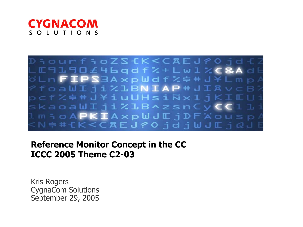



Reference Monitor Concept in the CC ICCC 2005 Theme C2-03

Kris Rogers CygnaCom Solutions September 29, 2005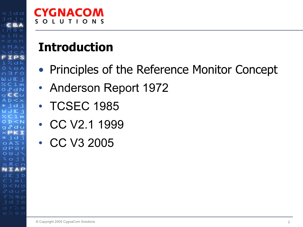#### CYGNACOM SOLUTIONS

## Introduction

- Principles of the Reference Monitor Concept
- Anderson Report 1972
- TCSEC 1985
- CC V2.1 1999
- CC V3 2005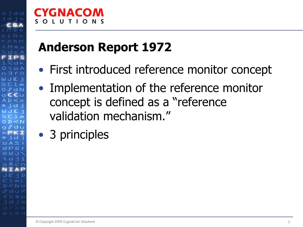## *CNACOM*

## Anderson Report 1972

- First introduced reference monitor concept
- Implementation of the reference monitor concept is defined as a "reference validation mechanism."
- 3 principles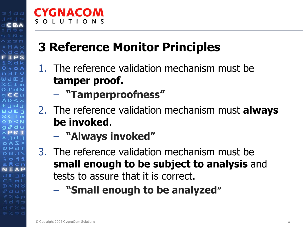## 3 Reference Monitor Principles

- 1. The reference validation mechanism must be tamper proof.
	- "Tamperproofness"
- 2. The reference validation mechanism must **always** be invoked.
	- $\mathcal{L}_{\mathcal{A}}$ "Always invoked"
- 3. The reference validation mechanism must be small enough to be subject to analysis and tests to assure that it is correct.
	- "Small enough to be analyzed"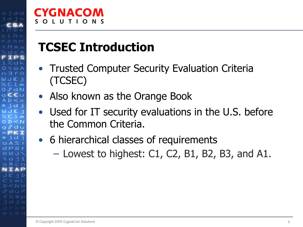## TCSEC Introduction

- Trusted Computer Security Evaluation Criteria (TCSEC)
- Also known as the Orange Book
- $\bullet$  Used for IT security evaluations in the U.S. before the Common Criteria.
- 6 hierarchical classes of requirements
	- Lowest to highest: C1, C2, B1, B2, B3, and A1.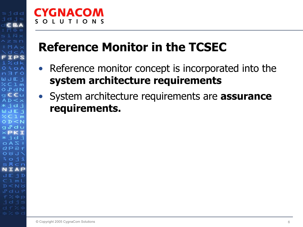#### CYGNACOM ONS  $\mathbf{L}$   $\mathbf{U}$ T L

### Reference Monitor in the TCSEC

- Reference monitor concept is incorporated into the system architecture requirements
- System architecture requirements are **assurance** requirements.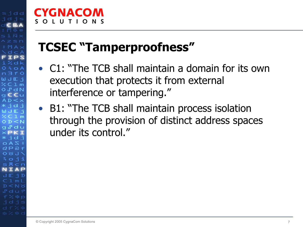## TCSEC "Tamperproofness"

- C1: "The TCB shall maintain a domain for its own execution that protects it from external interference or tampering."
- B1: "The TCB shall maintain process isolation through the provision of distinct address spaces under its control."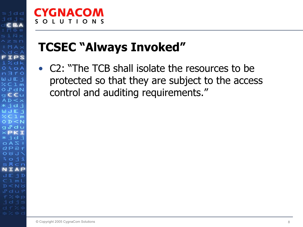#### **CYGNACOM**  $S$   $\Omega$ LUTIONS

## TCSEC "Always Invoked"

• C2: "The TCB shall isolate the resources to be protected so that they are subject to the access control and auditing requirements."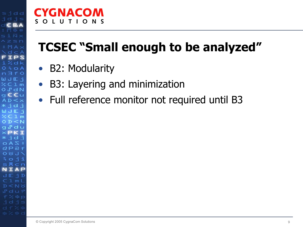#### **CYGNACOM** O N S  $S$   $\Omega$  $\blacksquare$ T L

## TCSEC "Small enough to be analyzed"

- B2: Modularity
- $\bullet$ B3: Layering and minimization
- Full reference monitor not required until B3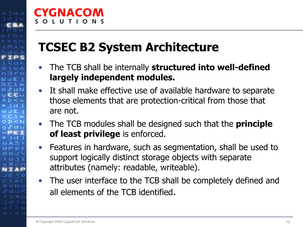### TCSEC B2 System Architecture

- •The TCB shall be internally structured into well-defined largely independent modules.
- • It shall make effective use of available hardware to separate those elements that are protection-critical from those that are not.
- $\bullet$ The TCB modules shall be designed such that the **principle** of least privilege is enforced.
- $\bullet$  Features in hardware, such as segmentation, shall be used to support logically distinct storage objects with separate attributes (namely: readable, writeable).
- The user interface to the TCB shall be completely defined and all elements of the TCB identified.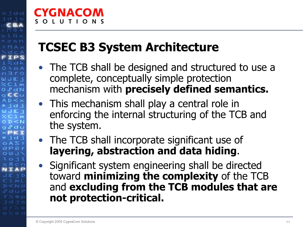# *GNAGOM*

## TCSEC B3 System Architecture

- The TCB shall be designed and structured to use a complete, conceptually simple protection mechanism with precisely defined semantics.
- This mechanism shall play a central role in enforcing the internal structuring of the TCB and the system.
- The TCB shall incorporate significant use of layering, abstraction and data hiding.
- Significant system engineering shall be directed toward minimizing the complexity of the TCB and excluding from the TCB modules that are not protection-critical.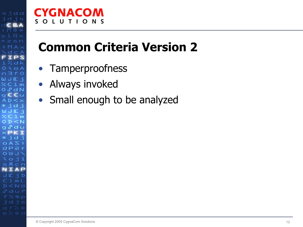#### **CYGNACOM** SOLUTIONS

## Common Criteria Version 2

- Tamperproofness
- $\bullet$ Always invoked
- Small enough to be analyzed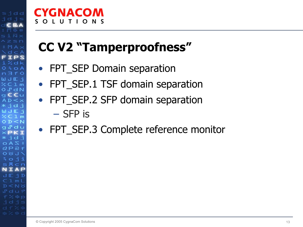#### **CYGNACOM** SOLUTIONS

## CC V2 "Tamperproofness"

- FPT\_SEP Domain separation
- FPT\_SEP.1 TSF domain separation
- $\bullet$  FPT\_SEP.2 SFP domain separation – SFP is
- FPT\_SEP.3 Complete reference monitor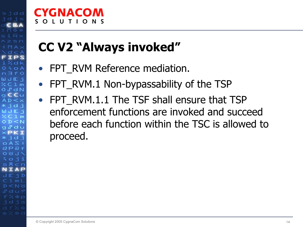## CC V2 "Always invoked"

- FPT\_RVM Reference mediation.
- •FPT RVM.1 Non-bypassability of the TSP
- FPT\_RVM.1.1 The TSF shall ensure that TSP enforcement functions are invoked and succeed before each function within the TSC is allowed to proceed.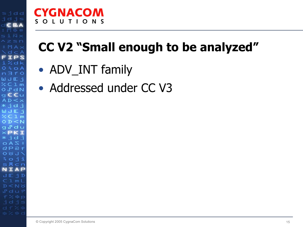#### **CYGNACOM** SOLUTIONS

## CC V2 "Small enough to be analyzed"

- ADV\_INT family
- Addressed under CC V3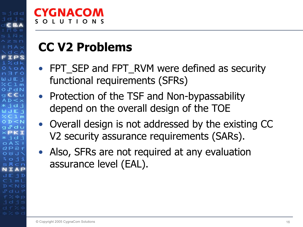## CC V2 Problems

- FPT\_SEP and FPT\_RVM were defined as security functional requirements (SFRs)
- Protection of the TSF and Non-bypassability depend on the overall design of the TOE
- Overall design is not addressed by the existing CC V2 security assurance requirements (SARs).
- Also, SFRs are not required at any evaluation assurance level (EAL).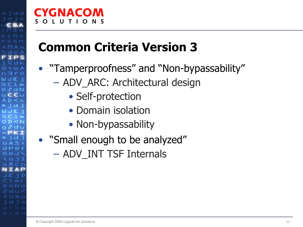#### CYGNACOM ONS - 11

### Common Criteria Version 3

- "Tamperproofness" and "Non-bypassability"
	- – ADV\_ARC: Architectural design
		- Self-protection
		- Domain isolation
		- Non-bypassability
- "Small enough to be analyzed"
	- ADV\_INT TSF Internals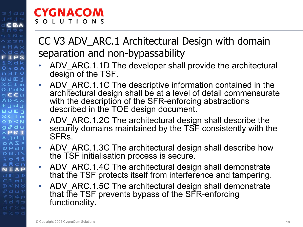#### CC V3 ADV\_ARC.1 Architectural Design with domain separation and non-bypassability

- •ADV ARC.1.1D The developer shall provide the architectural design of the TSF.
- •ADV ARC.1.1C The descriptive information contained in the architectural design shall be at a level of detail commensurate with the description of the SFR-enforcing abstractions described in the TOE design document.
- •ADV ARC.1.2C The architectural design shall describe the security domains maintained by the TSF consistently with the SFRs.
- • ADV\_ARC.1.3C The architectural design shall describe how the TSF initialisation process is secure.
- • ADV\_ARC.1.4C The architectural design shall demonstrate that the TSF protects itself from interference and tampering.
- • ADV\_ARC.1.5C The architectural design shall demonstrate that the TSF prevents bypass of the SFR-enforcing functionality.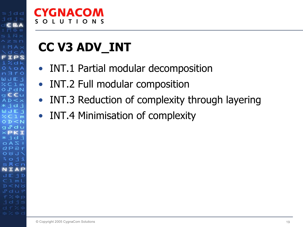#### CYGNACOM O N S  $S$   $\Omega$  $\mathbf{L}$   $\mathbf{L}$

## CC V3 ADV\_INT

- $\bullet$ INT.1 Partial modular decomposition
- $\bullet$ INT.2 Full modular composition
- $\bullet$ INT.3 Reduction of complexity through layering
- INT.4 Minimisation of complexity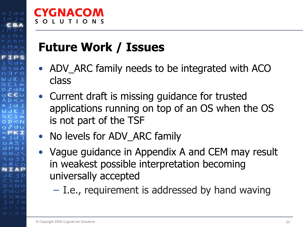## *GNAGOM*

### Future Work / Issues

- $\bullet$ ADV ARC family needs to be integrated with ACO class
- Current draft is missing guidance for trusted applications running on top of an OS when the OS is not part of the TSF
- No levels for ADV\_ARC family
- Vague guidance in Appendix A and CEM may result in weakest possible interpretation becoming universally accepted
	- I.e., requirement is addressed by hand waving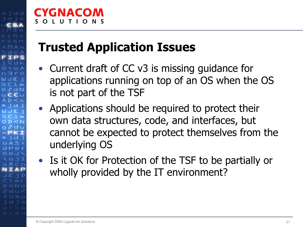## IGNACOM

## Trusted Application Issues

- Current draft of CC v3 is missing guidance for applications running on top of an OS when the OS is not part of the TSF
- Applications should be required to protect their own data structures, code, and interfaces, but cannot be expected to protect themselves from the underlying OS
- Is it OK for Protection of the TSF to be partially or wholly provided by the IT environment?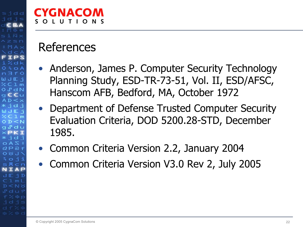# ZGNACOM

### References

- Anderson, James P. Computer Security Technology Planning Study, ESD-TR-73-51, Vol. II, ESD/AFSC, Hanscom AFB, Bedford, MA, October 1972
- Department of Defense Trusted Computer Security Evaluation Criteria, DOD 5200.28-STD, December 1985.
- •Common Criteria Version 2.2, January 2004
- •Common Criteria Version V3.0 Rev 2, July 2005